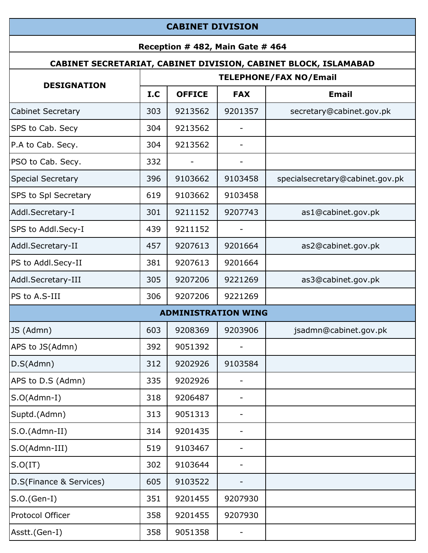|                                                                                                  |     | <b>CABINET DIVISION</b> |                                  |                                 |
|--------------------------------------------------------------------------------------------------|-----|-------------------------|----------------------------------|---------------------------------|
|                                                                                                  |     |                         | Reception # 482, Main Gate # 464 |                                 |
|                                                                                                  |     |                         |                                  |                                 |
| CABINET SECRETARIAT, CABINET DIVISION, CABINET BLOCK, ISLAMABAD<br><b>TELEPHONE/FAX NO/Email</b> |     |                         |                                  |                                 |
| <b>DESIGNATION</b>                                                                               | I.C | <b>OFFICE</b>           | <b>FAX</b>                       | <b>Email</b>                    |
| <b>Cabinet Secretary</b>                                                                         | 303 | 9213562                 | 9201357                          | secretary@cabinet.gov.pk        |
| SPS to Cab. Secy                                                                                 | 304 | 9213562                 |                                  |                                 |
| P.A to Cab. Secy.                                                                                | 304 | 9213562                 |                                  |                                 |
| PSO to Cab. Secy.                                                                                | 332 |                         |                                  |                                 |
| <b>Special Secretary</b>                                                                         | 396 | 9103662                 | 9103458                          | specialsecretary@cabinet.gov.pk |
| SPS to Spl Secretary                                                                             | 619 | 9103662                 | 9103458                          |                                 |
| Addl.Secretary-I                                                                                 | 301 | 9211152                 | 9207743                          | as1@cabinet.gov.pk              |
| SPS to Addl.Secy-I                                                                               | 439 | 9211152                 |                                  |                                 |
| Addl.Secretary-II                                                                                | 457 | 9207613                 | 9201664                          | as2@cabinet.gov.pk              |
| PS to Addl.Secy-II                                                                               | 381 | 9207613                 | 9201664                          |                                 |
| Addl.Secretary-III                                                                               | 305 | 9207206                 | 9221269                          | as3@cabinet.gov.pk              |
| PS to A.S-III                                                                                    | 306 | 9207206                 | 9221269                          |                                 |
|                                                                                                  |     |                         | <b>ADMINISTRATION WING</b>       |                                 |
| JS (Admn)                                                                                        | 603 | 9208369                 | 9203906                          | jsadmn@cabinet.gov.pk           |
| APS to JS(Admn)                                                                                  | 392 | 9051392                 |                                  |                                 |
| D.S(Admn)                                                                                        | 312 | 9202926                 | 9103584                          |                                 |
| APS to D.S (Admn)                                                                                | 335 | 9202926                 |                                  |                                 |
| $S.O(Admn-I)$                                                                                    | 318 | 9206487                 |                                  |                                 |
| Suptd.(Admn)                                                                                     | 313 | 9051313                 |                                  |                                 |
| $S.O.(Admn-II)$                                                                                  | 314 | 9201435                 |                                  |                                 |
| S.O(Admn-III)                                                                                    | 519 | 9103467                 |                                  |                                 |
| S.O(IT)                                                                                          | 302 | 9103644                 |                                  |                                 |
| D.S(Finance & Services)                                                                          | 605 | 9103522                 |                                  |                                 |
| $S.O.(Gen-I)$                                                                                    | 351 | 9201455                 | 9207930                          |                                 |
| Protocol Officer                                                                                 | 358 | 9201455                 | 9207930                          |                                 |
| Asstt.(Gen-I)                                                                                    | 358 | 9051358                 |                                  |                                 |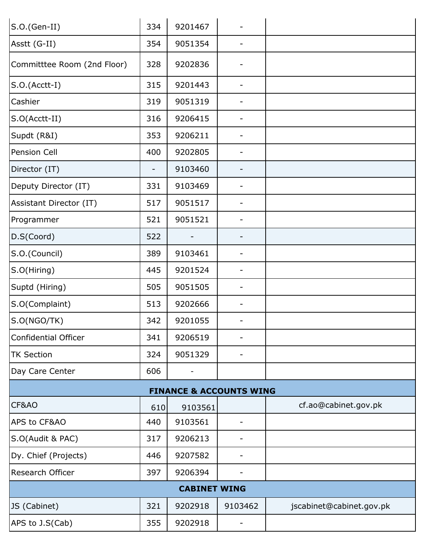| $S.O.(Gen-II)$                     | 334 | 9201467 |                          |                          |  |  |  |
|------------------------------------|-----|---------|--------------------------|--------------------------|--|--|--|
| Asstt (G-II)                       | 354 | 9051354 |                          |                          |  |  |  |
| Committtee Room (2nd Floor)        | 328 | 9202836 |                          |                          |  |  |  |
| $ S.O.(Acctt-I) $                  | 315 | 9201443 |                          |                          |  |  |  |
| Cashier                            | 319 | 9051319 |                          |                          |  |  |  |
| $ S.O(Acctt-II) $                  | 316 | 9206415 |                          |                          |  |  |  |
| Supdt (R&I)                        | 353 | 9206211 |                          |                          |  |  |  |
| Pension Cell                       | 400 | 9202805 |                          |                          |  |  |  |
| Director (IT)                      |     | 9103460 |                          |                          |  |  |  |
| Deputy Director (IT)               | 331 | 9103469 |                          |                          |  |  |  |
| Assistant Director (IT)            | 517 | 9051517 |                          |                          |  |  |  |
| Programmer                         | 521 | 9051521 |                          |                          |  |  |  |
| D.S(Coord)                         | 522 |         |                          |                          |  |  |  |
| S.O.(Council)                      | 389 | 9103461 |                          |                          |  |  |  |
| S.O(Hiring)                        | 445 | 9201524 |                          |                          |  |  |  |
| Suptd (Hiring)                     | 505 | 9051505 |                          |                          |  |  |  |
| S.O(Complaint)                     | 513 | 9202666 |                          |                          |  |  |  |
| S.O(NGO/TK)                        | 342 | 9201055 |                          |                          |  |  |  |
| Confidential Officer               | 341 | 9206519 |                          |                          |  |  |  |
| <b>TK Section</b>                  | 324 | 9051329 |                          |                          |  |  |  |
| Day Care Center                    | 606 |         |                          |                          |  |  |  |
| <b>FINANCE &amp; ACCOUNTS WING</b> |     |         |                          |                          |  |  |  |
| CF&AO                              | 610 | 9103561 |                          | cf.ao@cabinet.gov.pk     |  |  |  |
| APS to CF&AO                       | 440 | 9103561 | $\overline{\phantom{a}}$ |                          |  |  |  |
| S.O(Audit & PAC)                   | 317 | 9206213 |                          |                          |  |  |  |
| Dy. Chief (Projects)               | 446 | 9207582 |                          |                          |  |  |  |
| Research Officer                   | 397 | 9206394 |                          |                          |  |  |  |
| <b>CABINET WING</b>                |     |         |                          |                          |  |  |  |
| JS (Cabinet)                       | 321 | 9202918 | 9103462                  | jscabinet@cabinet.gov.pk |  |  |  |
| APS to J.S(Cab)                    | 355 | 9202918 |                          |                          |  |  |  |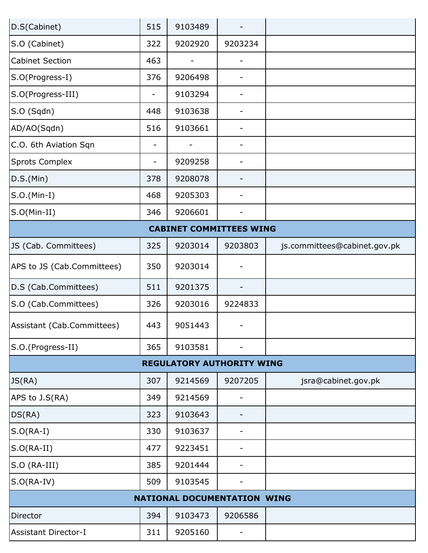| D.S(Cabinet)                       | 515 | 9103489                          |                          |                              |  |  |  |
|------------------------------------|-----|----------------------------------|--------------------------|------------------------------|--|--|--|
| S.O (Cabinet)                      | 322 | 9202920                          | 9203234                  |                              |  |  |  |
| <b>Cabinet Section</b>             | 463 |                                  |                          |                              |  |  |  |
| S.O(Progress-I)                    | 376 | 9206498                          |                          |                              |  |  |  |
| S.O(Progress-III)                  |     | 9103294                          | $\overline{\phantom{a}}$ |                              |  |  |  |
| S.O(Sqdn)                          | 448 | 9103638                          |                          |                              |  |  |  |
| AD/AO(Sqdn)                        | 516 | 9103661                          |                          |                              |  |  |  |
| C.O. 6th Aviation Sqn              |     |                                  |                          |                              |  |  |  |
| <b>Sprots Complex</b>              |     | 9209258                          |                          |                              |  |  |  |
| D.S.(Min)                          | 378 | 9208078                          |                          |                              |  |  |  |
| $S.O.(Min-I)$                      | 468 | 9205303                          |                          |                              |  |  |  |
| $S.O(Min-II)$                      | 346 | 9206601                          |                          |                              |  |  |  |
|                                    |     | <b>CABINET COMMITTEES WING</b>   |                          |                              |  |  |  |
| JS (Cab. Committees)               | 325 | 9203014                          | 9203803                  | js.committees@cabinet.gov.pk |  |  |  |
| APS to JS (Cab.Committees)         | 350 | 9203014                          |                          |                              |  |  |  |
| D.S (Cab.Committees)               | 511 | 9201375                          |                          |                              |  |  |  |
| S.O (Cab.Committees)               | 326 | 9203016                          | 9224833                  |                              |  |  |  |
| Assistant (Cab.Committees)         | 443 | 9051443                          |                          |                              |  |  |  |
| S.O.(Progress-II)                  | 365 | 9103581                          |                          |                              |  |  |  |
|                                    |     | <b>REGULATORY AUTHORITY WING</b> |                          |                              |  |  |  |
| JS(RA)                             | 307 | 9214569                          | 9207205                  | jsra@cabinet.gov.pk          |  |  |  |
| APS to J.S(RA)                     | 349 | 9214569                          |                          |                              |  |  |  |
| DS(RA)                             | 323 | 9103643                          |                          |                              |  |  |  |
| $S.O(RA-I)$                        | 330 | 9103637                          |                          |                              |  |  |  |
| $S.O(RA-II)$                       | 477 | 9223451                          | $\overline{\phantom{a}}$ |                              |  |  |  |
| $SO (RA-III)$                      | 385 | 9201444                          | $\overline{\phantom{a}}$ |                              |  |  |  |
| $S.O(RA-IV)$                       | 509 | 9103545                          | -                        |                              |  |  |  |
| <b>NATIONAL DOCUMENTATION WING</b> |     |                                  |                          |                              |  |  |  |
| Director                           | 394 | 9103473                          | 9206586                  |                              |  |  |  |
| <b>Assistant Director-I</b>        | 311 | 9205160                          | $\overline{\phantom{a}}$ |                              |  |  |  |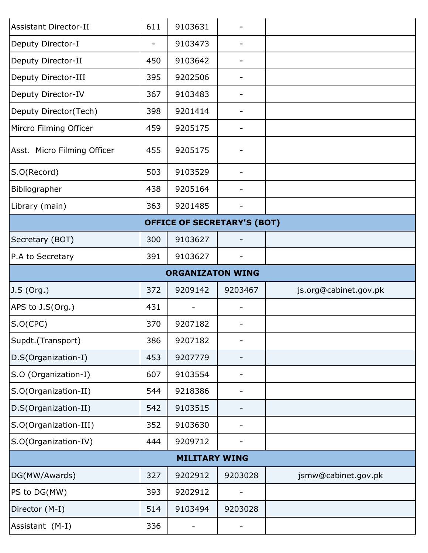| <b>Assistant Director-II</b> | 611 | 9103631                            |         |                       |
|------------------------------|-----|------------------------------------|---------|-----------------------|
| Deputy Director-I            |     | 9103473                            |         |                       |
| Deputy Director-II           | 450 | 9103642                            |         |                       |
| Deputy Director-III          | 395 | 9202506                            |         |                       |
| Deputy Director-IV           | 367 | 9103483                            |         |                       |
| Deputy Director(Tech)        | 398 | 9201414                            |         |                       |
| Mircro Filming Officer       | 459 | 9205175                            |         |                       |
| Asst. Micro Filming Officer  | 455 | 9205175                            |         |                       |
| S.O(Record)                  | 503 | 9103529                            |         |                       |
| Bibliographer                | 438 | 9205164                            |         |                       |
| Library (main)               | 363 | 9201485                            |         |                       |
|                              |     | <b>OFFICE OF SECRETARY'S (BOT)</b> |         |                       |
| Secretary (BOT)              | 300 | 9103627                            |         |                       |
| P.A to Secretary             | 391 | 9103627                            |         |                       |
|                              |     | <b>ORGANIZATON WING</b>            |         |                       |
| J.S (Org.)                   | 372 | 9209142                            | 9203467 | js.org@cabinet.gov.pk |
| APS to J.S(Org.)             | 431 |                                    |         |                       |
| S.O(CPC)                     | 370 | 9207182                            |         |                       |
| Supdt.(Transport)            | 386 | 9207182                            |         |                       |
| D.S(Organization-I)          | 453 | 9207779                            |         |                       |
| S.O (Organization-I)         | 607 | 9103554                            |         |                       |
| S.O(Organization-II)         | 544 | 9218386                            |         |                       |
| D.S(Organization-II)         | 542 | 9103515                            |         |                       |
| S.O(Organization-III)        | 352 | 9103630                            |         |                       |
| S.O(Organization-IV)         | 444 | 9209712                            |         |                       |
|                              |     | <b>MILITARY WING</b>               |         |                       |
| DG(MW/Awards)                | 327 | 9202912                            | 9203028 | jsmw@cabinet.gov.pk   |
| PS to DG(MW)                 | 393 | 9202912                            |         |                       |
| Director (M-I)               | 514 | 9103494                            | 9203028 |                       |
|                              |     |                                    |         |                       |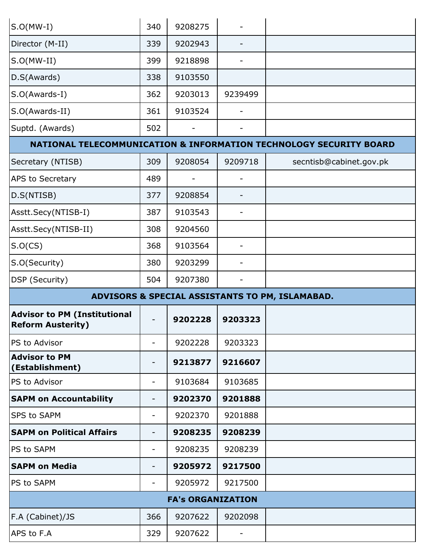| $SO(MW-I)$                                                      | 340 | 9208275                  |         |                                                                    |
|-----------------------------------------------------------------|-----|--------------------------|---------|--------------------------------------------------------------------|
| Director (M-II)                                                 | 339 | 9202943                  |         |                                                                    |
| $S.O(MW-II)$                                                    | 399 | 9218898                  |         |                                                                    |
| D.S(Awards)                                                     | 338 | 9103550                  |         |                                                                    |
| S.O(Awards-I)                                                   | 362 | 9203013                  | 9239499 |                                                                    |
| S.O(Awards-II)                                                  | 361 | 9103524                  |         |                                                                    |
| Suptd. (Awards)                                                 | 502 |                          |         |                                                                    |
|                                                                 |     |                          |         | NATIONAL TELECOMMUNICATION & INFORMATION TECHNOLOGY SECURITY BOARD |
| Secretary (NTISB)                                               | 309 | 9208054                  | 9209718 | secntisb@cabinet.gov.pk                                            |
| APS to Secretary                                                | 489 |                          |         |                                                                    |
| D.S(NTISB)                                                      | 377 | 9208854                  |         |                                                                    |
| Asstt.Secy(NTISB-I)                                             | 387 | 9103543                  |         |                                                                    |
| Asstt.Secy(NTISB-II)                                            | 308 | 9204560                  |         |                                                                    |
| S.O(CS)                                                         | 368 | 9103564                  |         |                                                                    |
| S.O(Security)                                                   | 380 | 9203299                  |         |                                                                    |
| DSP (Security)                                                  | 504 | 9207380                  |         |                                                                    |
|                                                                 |     |                          |         | ADVISORS & SPECIAL ASSISTANTS TO PM, ISLAMABAD.                    |
| <b>Advisor to PM (Institutional</b><br><b>Reform Austerity)</b> |     | 9202228                  | 9203323 |                                                                    |
| PS to Advisor                                                   |     | 9202228                  | 9203323 |                                                                    |
| <b>Advisor to PM</b><br>(Establishment)                         |     | 9213877                  | 9216607 |                                                                    |
| PS to Advisor                                                   |     | 9103684                  | 9103685 |                                                                    |
| <b>SAPM on Accountability</b>                                   |     | 9202370                  | 9201888 |                                                                    |
| <b>SPS to SAPM</b>                                              |     | 9202370                  | 9201888 |                                                                    |
| <b>SAPM on Political Affairs</b>                                |     | 9208235                  | 9208239 |                                                                    |
| PS to SAPM                                                      |     | 9208235                  | 9208239 |                                                                    |
| <b>SAPM on Media</b>                                            |     | 9205972                  | 9217500 |                                                                    |
| PS to SAPM                                                      |     | 9205972                  | 9217500 |                                                                    |
|                                                                 |     | <b>FA's ORGANIZATION</b> |         |                                                                    |
| F.A (Cabinet)/JS                                                | 366 | 9207622                  | 9202098 |                                                                    |
| APS to F.A                                                      | 329 | 9207622                  |         |                                                                    |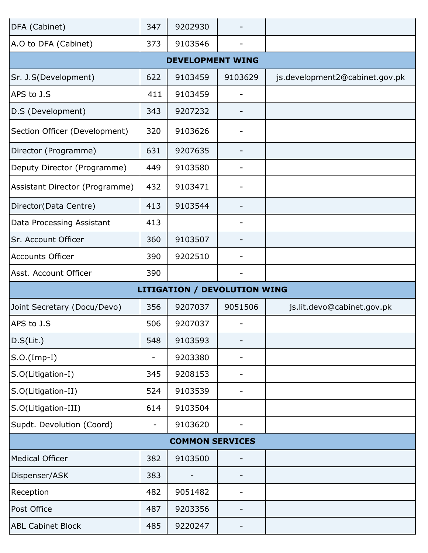| DFA (Cabinet)                  | 347 | 9202930                             |                          |                                |  |  |  |
|--------------------------------|-----|-------------------------------------|--------------------------|--------------------------------|--|--|--|
| A.O to DFA (Cabinet)           | 373 | 9103546                             |                          |                                |  |  |  |
| <b>DEVELOPMENT WING</b>        |     |                                     |                          |                                |  |  |  |
| Sr. J.S(Development)           | 622 | 9103459                             | 9103629                  | js.development2@cabinet.gov.pk |  |  |  |
| APS to J.S                     | 411 | 9103459                             | $\overline{\phantom{a}}$ |                                |  |  |  |
| D.S (Development)              | 343 | 9207232                             | $\overline{\phantom{a}}$ |                                |  |  |  |
| Section Officer (Development)  | 320 | 9103626                             |                          |                                |  |  |  |
| Director (Programme)           | 631 | 9207635                             |                          |                                |  |  |  |
| Deputy Director (Programme)    | 449 | 9103580                             |                          |                                |  |  |  |
| Assistant Director (Programme) | 432 | 9103471                             |                          |                                |  |  |  |
| Director (Data Centre)         | 413 | 9103544                             |                          |                                |  |  |  |
| Data Processing Assistant      | 413 |                                     |                          |                                |  |  |  |
| Sr. Account Officer            | 360 | 9103507                             |                          |                                |  |  |  |
| <b>Accounts Officer</b>        | 390 | 9202510                             |                          |                                |  |  |  |
| Asst. Account Officer          | 390 |                                     |                          |                                |  |  |  |
|                                |     | <b>LITIGATION / DEVOLUTION WING</b> |                          |                                |  |  |  |
| Joint Secretary (Docu/Devo)    | 356 | 9207037                             | 9051506                  | js.lit.devo@cabinet.gov.pk     |  |  |  |
| APS to J.S                     | 506 | 9207037                             |                          |                                |  |  |  |
| D.S(Lit.)                      | 548 | 9103593                             |                          |                                |  |  |  |
| $S.O.(Imp-I)$                  |     | 9203380                             |                          |                                |  |  |  |
| S.O(Litigation-I)              | 345 | 9208153                             |                          |                                |  |  |  |
| S.O(Litigation-II)             | 524 | 9103539                             |                          |                                |  |  |  |
| S.O(Litigation-III)            | 614 | 9103504                             |                          |                                |  |  |  |
| Supdt. Devolution (Coord)      |     | 9103620                             |                          |                                |  |  |  |
| <b>COMMON SERVICES</b>         |     |                                     |                          |                                |  |  |  |
| <b>Medical Officer</b>         | 382 | 9103500                             |                          |                                |  |  |  |
| Dispenser/ASK                  | 383 |                                     |                          |                                |  |  |  |
| Reception                      | 482 | 9051482                             |                          |                                |  |  |  |
| Post Office                    | 487 | 9203356                             |                          |                                |  |  |  |
| <b>ABL Cabinet Block</b>       | 485 | 9220247                             |                          |                                |  |  |  |